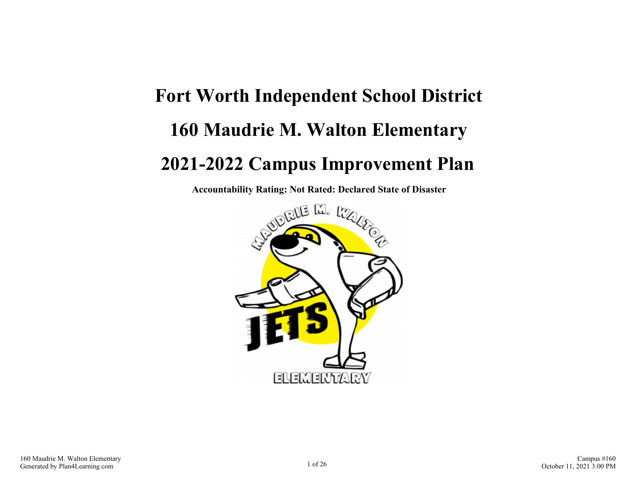# **Fort Worth Independent School District 160 Maudrie M. Walton Elementary 2021-2022 Campus Improvement Plan**

**Accountability Rating: Not Rated: Declared State of Disaster**

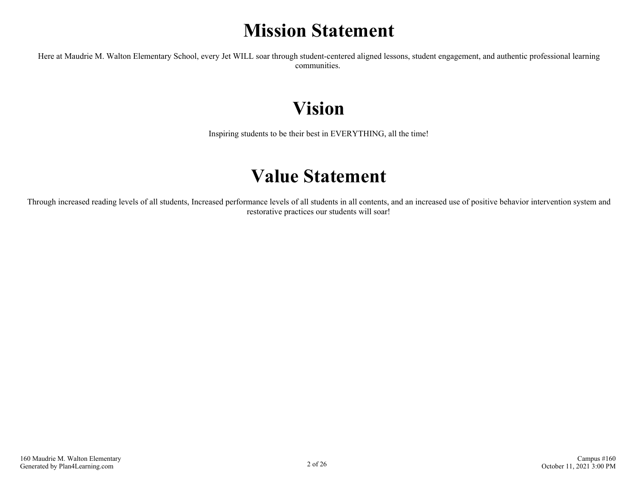## **Mission Statement**

Here at Maudrie M. Walton Elementary School, every Jet WILL soar through student-centered aligned lessons, student engagement, and authentic professional learning communities.

## **Vision**

Inspiring students to be their best in EVERYTHING, all the time!

### **Value Statement**

Through increased reading levels of all students, Increased performance levels of all students in all contents, and an increased use of positive behavior intervention system and restorative practices our students will soar!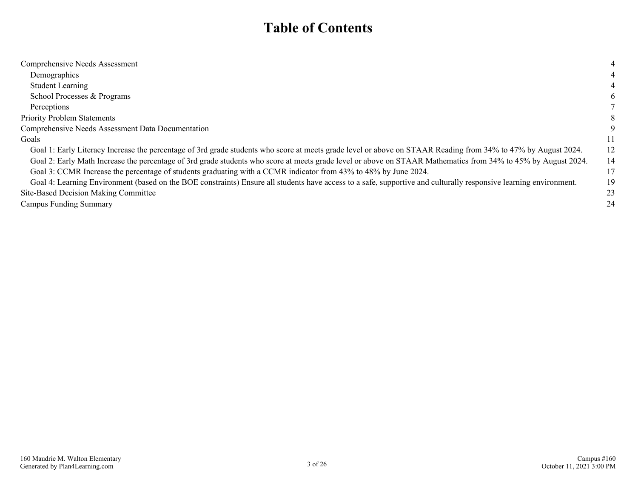### **Table of Contents**

| Comprehensive Needs Assessment                                                                                                                                    |    |
|-------------------------------------------------------------------------------------------------------------------------------------------------------------------|----|
| Demographics                                                                                                                                                      |    |
| <b>Student Learning</b>                                                                                                                                           |    |
| School Processes & Programs                                                                                                                                       | 6  |
| Perceptions                                                                                                                                                       |    |
| <b>Priority Problem Statements</b>                                                                                                                                |    |
| Comprehensive Needs Assessment Data Documentation                                                                                                                 |    |
| Goals                                                                                                                                                             | 11 |
| Goal 1: Early Literacy Increase the percentage of 3rd grade students who score at meets grade level or above on STAAR Reading from 34% to 47% by August 2024.     | 12 |
| Goal 2: Early Math Increase the percentage of 3rd grade students who score at meets grade level or above on STAAR Mathematics from 34% to 45% by August 2024.     | 14 |
| Goal 3: CCMR Increase the percentage of students graduating with a CCMR indicator from 43% to 48% by June 2024.                                                   | 17 |
| Goal 4: Learning Environment (based on the BOE constraints) Ensure all students have access to a safe, supportive and culturally responsive learning environment. | 19 |
| Site-Based Decision Making Committee                                                                                                                              | 23 |
| <b>Campus Funding Summary</b>                                                                                                                                     | 24 |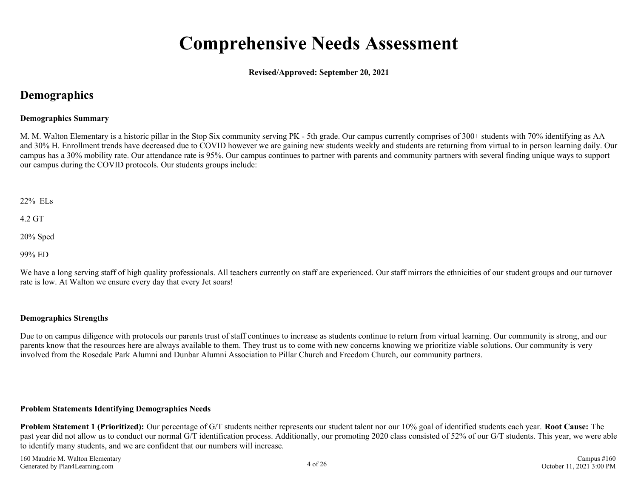### **Comprehensive Needs Assessment**

**Revised/Approved: September 20, 2021**

### <span id="page-3-0"></span>**Demographics**

### **Demographics Summary**

M. M. Walton Elementary is a historic pillar in the Stop Six community serving PK - 5th grade. Our campus currently comprises of 300+ students with 70% identifying as AA and 30% H. Enrollment trends have decreased due to COVID however we are gaining new students weekly and students are returning from virtual to in person learning daily. Our campus has a 30% mobility rate. Our attendance rate is 95%. Our campus continues to partner with parents and community partners with several finding unique ways to support our campus during the COVID protocols. Our students groups include:

22% ELs

4.2 GT

20% Sped

99% ED

We have a long serving staff of high quality professionals. All teachers currently on staff are experienced. Our staff mirrors the ethnicities of our student groups and our turnover rate is low. At Walton we ensure every day that every Jet soars!

### **Demographics Strengths**

Due to on campus diligence with protocols our parents trust of staff continues to increase as students continue to return from virtual learning. Our community is strong, and our parents know that the resources here are always available to them. They trust us to come with new concerns knowing we prioritize viable solutions. Our community is very involved from the Rosedale Park Alumni and Dunbar Alumni Association to Pillar Church and Freedom Church, our community partners.

#### **Problem Statements Identifying Demographics Needs**

**Problem Statement 1 (Prioritized):** Our percentage of G/T students neither represents our student talent nor our 10% goal of identified students each year. **Root Cause:** The past year did not allow us to conduct our normal G/T identification process. Additionally, our promoting 2020 class consisted of 52% of our G/T students. This year, we were able to identify many students, and we are confident that our numbers will increase.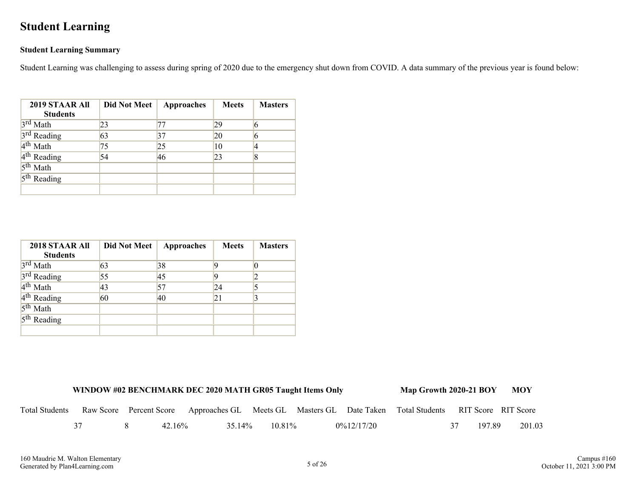### <span id="page-4-0"></span>**Student Learning**

### **Student Learning Summary**

Student Learning was challenging to assess during spring of 2020 due to the emergency shut down from COVID. A data summary of the previous year is found below:

| 2019 STAAR All<br><b>Students</b> | <b>Did Not Meet</b> | <b>Approaches</b> | <b>Meets</b> | <b>Masters</b> |
|-----------------------------------|---------------------|-------------------|--------------|----------------|
| $3rd$ Math                        | 23                  | 77                | 29           |                |
| 3 <sup>rd</sup> Reading           | 63                  | 37                | 20           |                |
| 4 <sup>th</sup> Math              | 75                  | 25                | 10           |                |
| 4 <sup>th</sup> Reading           | 54                  | 46                | 23           | 8              |
| 5 <sup>th</sup> Math              |                     |                   |              |                |
| $5th$ Reading                     |                     |                   |              |                |
|                                   |                     |                   |              |                |

| 2018 STAAR All<br><b>Students</b> | <b>Did Not Meet</b> | <b>Approaches</b> | <b>Meets</b> | <b>Masters</b> |
|-----------------------------------|---------------------|-------------------|--------------|----------------|
|                                   |                     |                   |              |                |
| 3rd Math                          | 63                  | 38                |              |                |
| 3 <sup>rd</sup> Reading           | 55                  | 45                |              |                |
| $4th$ Math                        | 43                  | 57                | 24           |                |
| $4th$ Reading                     | 60                  | 40                | 21           |                |
| $5^{\text{th}}$ Math              |                     |                   |              |                |
| $5th$ Reading                     |                     |                   |              |                |
|                                   |                     |                   |              |                |

|                       |  |           | WINDOW #02 BENCHMARK DEC 2020 MATH GR05 Taught Items Only                                               |           |               | Map Growth 2020-21 BOY MOY |              |        |
|-----------------------|--|-----------|---------------------------------------------------------------------------------------------------------|-----------|---------------|----------------------------|--------------|--------|
| <b>Total Students</b> |  |           | Raw Score Percent Score Approaches GL Meets GL Masters GL Date Taken Total Students RIT Score RIT Score |           |               |                            |              |        |
|                       |  | $42.16\%$ | 35.14%                                                                                                  | $10.81\%$ | $0\%12/17/20$ |                            | 197.89<br>37 | 201.03 |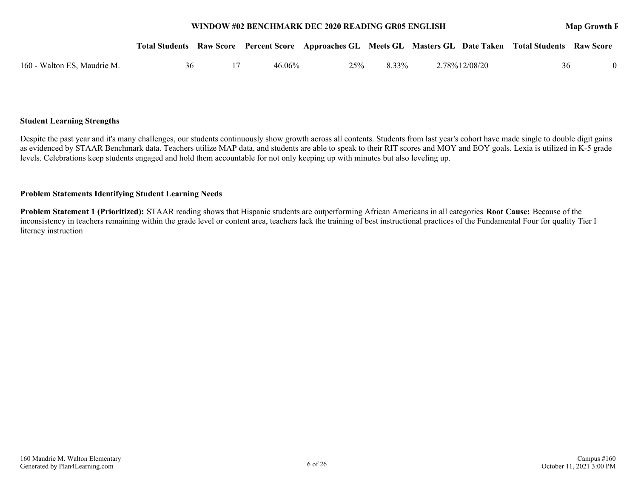#### **WINDOW #02 BENCHMARK DEC 2020 READING GR05 ENGLISH MAP GROWTH READING ENGINEER**

#### **Student Learning Strengths**

Despite the past year and it's many challenges, our students continuously show growth across all contents. Students from last year's cohort have made single to double digit gains as evidenced by STAAR Benchmark data. Teachers utilize MAP data, and students are able to speak to their RIT scores and MOY and EOY goals. Lexia is utilized in K-5 grade levels. Celebrations keep students engaged and hold them accountable for not only keeping up with minutes but also leveling up.

#### **Problem Statements Identifying Student Learning Needs**

**Problem Statement 1 (Prioritized):** STAAR reading shows that Hispanic students are outperforming African Americans in all categories **Root Cause:** Because of the inconsistency in teachers remaining within the grade level or content area, teachers lack the training of best instructional practices of the Fundamental Four for quality Tier I literacy instruction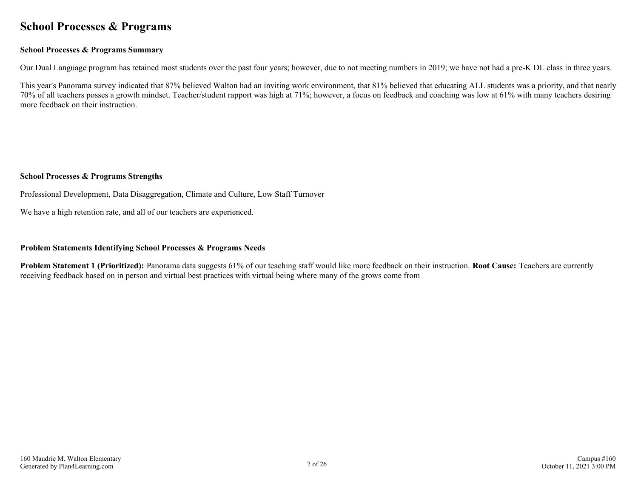### <span id="page-6-0"></span>**School Processes & Programs**

### **School Processes & Programs Summary**

Our Dual Language program has retained most students over the past four years; however, due to not meeting numbers in 2019; we have not had a pre-K DL class in three years.

This year's Panorama survey indicated that 87% believed Walton had an inviting work environment, that 81% believed that educating ALL students was a priority, and that nearly 70% of all teachers posses a growth mindset. Teacher/student rapport was high at 71%; however, a focus on feedback and coaching was low at 61% with many teachers desiring more feedback on their instruction.

### **School Processes & Programs Strengths**

Professional Development, Data Disaggregation, Climate and Culture, Low Staff Turnover

We have a high retention rate, and all of our teachers are experienced.

### **Problem Statements Identifying School Processes & Programs Needs**

**Problem Statement 1 (Prioritized):** Panorama data suggests 61% of our teaching staff would like more feedback on their instruction. **Root Cause:** Teachers are currently receiving feedback based on in person and virtual best practices with virtual being where many of the grows come from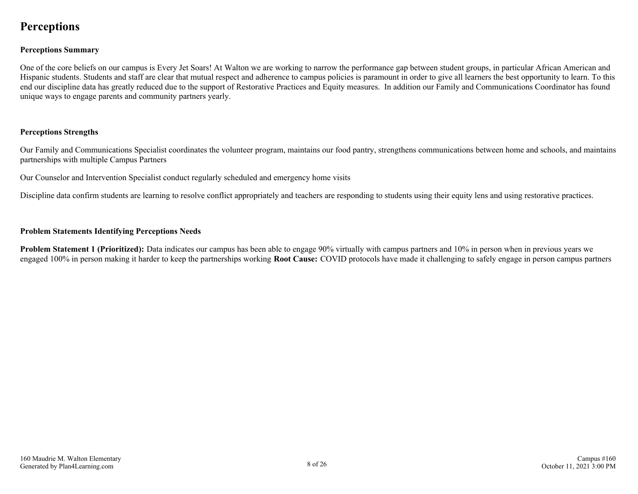### <span id="page-7-0"></span>**Perceptions**

### **Perceptions Summary**

One of the core beliefs on our campus is Every Jet Soars! At Walton we are working to narrow the performance gap between student groups, in particular African American and Hispanic students. Students and staff are clear that mutual respect and adherence to campus policies is paramount in order to give all learners the best opportunity to learn. To this end our discipline data has greatly reduced due to the support of Restorative Practices and Equity measures. In addition our Family and Communications Coordinator has found unique ways to engage parents and community partners yearly.

#### **Perceptions Strengths**

Our Family and Communications Specialist coordinates the volunteer program, maintains our food pantry, strengthens communications between home and schools, and maintains partnerships with multiple Campus Partners

Our Counselor and Intervention Specialist conduct regularly scheduled and emergency home visits

Discipline data confirm students are learning to resolve conflict appropriately and teachers are responding to students using their equity lens and using restorative practices.

#### **Problem Statements Identifying Perceptions Needs**

**Problem Statement 1 (Prioritized):** Data indicates our campus has been able to engage 90% virtually with campus partners and 10% in person when in previous years we engaged 100% in person making it harder to keep the partnerships working **Root Cause:** COVID protocols have made it challenging to safely engage in person campus partners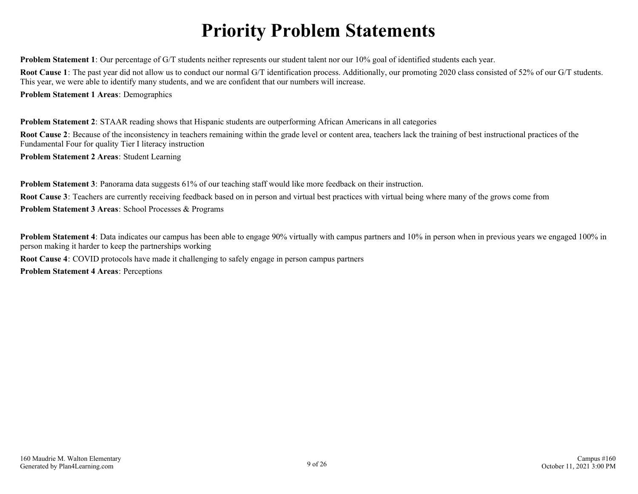## **Priority Problem Statements**

<span id="page-8-0"></span>**Problem Statement 1**: Our percentage of G/T students neither represents our student talent nor our 10% goal of identified students each year.

**Root Cause 1**: The past year did not allow us to conduct our normal G/T identification process. Additionally, our promoting 2020 class consisted of 52% of our G/T students. This year, we were able to identify many students, and we are confident that our numbers will increase.

**Problem Statement 1 Areas**: Demographics

**Problem Statement 2**: STAAR reading shows that Hispanic students are outperforming African Americans in all categories

**Root Cause 2**: Because of the inconsistency in teachers remaining within the grade level or content area, teachers lack the training of best instructional practices of the Fundamental Four for quality Tier I literacy instruction

**Problem Statement 2 Areas**: Student Learning

**Problem Statement 3**: Panorama data suggests 61% of our teaching staff would like more feedback on their instruction. **Root Cause 3**: Teachers are currently receiving feedback based on in person and virtual best practices with virtual being where many of the grows come from **Problem Statement 3 Areas**: School Processes & Programs

**Problem Statement 4**: Data indicates our campus has been able to engage 90% virtually with campus partners and 10% in person when in previous years we engaged 100% in person making it harder to keep the partnerships working

**Root Cause 4**: COVID protocols have made it challenging to safely engage in person campus partners

**Problem Statement 4 Areas**: Perceptions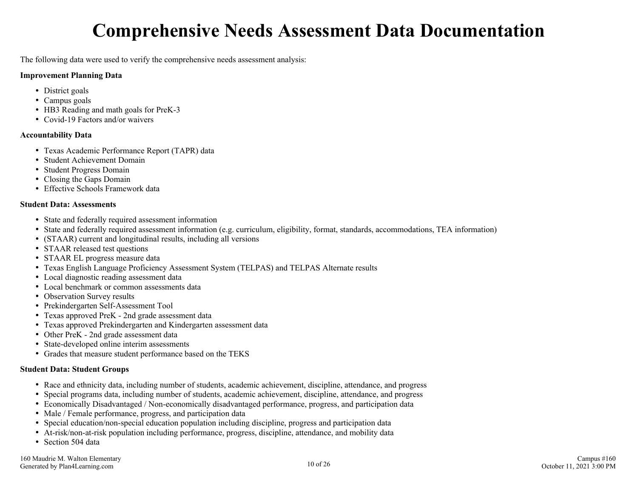## **Comprehensive Needs Assessment Data Documentation**

<span id="page-9-0"></span>The following data were used to verify the comprehensive needs assessment analysis:

#### **Improvement Planning Data**

- District goals
- Campus goals
- HB3 Reading and math goals for PreK-3
- Covid-19 Factors and/or waivers

### **Accountability Data**

- Texas Academic Performance Report (TAPR) data
- Student Achievement Domain
- Student Progress Domain
- Closing the Gaps Domain
- Effective Schools Framework data

### **Student Data: Assessments**

- State and federally required assessment information
- State and federally required assessment information (e.g. curriculum, eligibility, format, standards, accommodations, TEA information)
- (STAAR) current and longitudinal results, including all versions
- STAAR released test questions
- STAAR EL progress measure data
- Texas English Language Proficiency Assessment System (TELPAS) and TELPAS Alternate results
- Local diagnostic reading assessment data
- Local benchmark or common assessments data
- Observation Survey results
- Prekindergarten Self-Assessment Tool
- Texas approved PreK 2nd grade assessment data
- Texas approved Prekindergarten and Kindergarten assessment data
- Other PreK 2nd grade assessment data
- State-developed online interim assessments
- Grades that measure student performance based on the TEKS

### **Student Data: Student Groups**

- Race and ethnicity data, including number of students, academic achievement, discipline, attendance, and progress
- Special programs data, including number of students, academic achievement, discipline, attendance, and progress
- Economically Disadvantaged / Non-economically disadvantaged performance, progress, and participation data
- Male / Female performance, progress, and participation data
- Special education/non-special education population including discipline, progress and participation data
- At-risk/non-at-risk population including performance, progress, discipline, attendance, and mobility data
- Section 504 data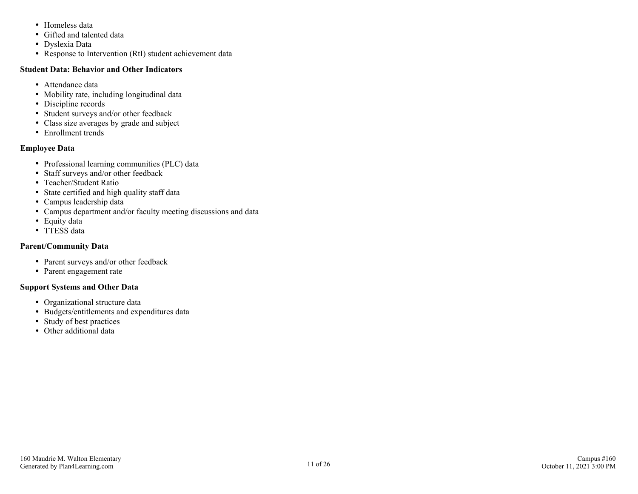- Homeless data
- Gifted and talented data
- Dyslexia Data
- Response to Intervention (RtI) student achievement data

### **Student Data: Behavior and Other Indicators**

- Attendance data
- Mobility rate, including longitudinal data
- Discipline records
- Student surveys and/or other feedback
- Class size averages by grade and subject
- Enrollment trends

### **Employee Data**

- Professional learning communities (PLC) data
- Staff surveys and/or other feedback
- Teacher/Student Ratio
- State certified and high quality staff data
- Campus leadership data
- Campus department and/or faculty meeting discussions and data
- Equity data
- TTESS data

### **Parent/Community Data**

- Parent surveys and/or other feedback
- Parent engagement rate

### **Support Systems and Other Data**

- Organizational structure data
- Budgets/entitlements and expenditures data
- Study of best practices
- Other additional data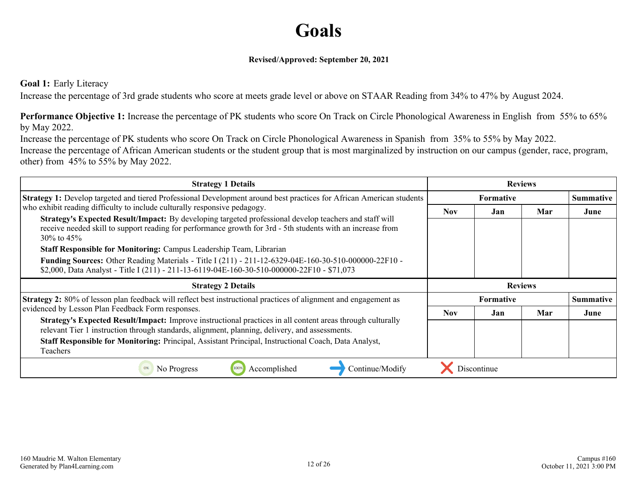### **Goals**

### **Revised/Approved: September 20, 2021**

### <span id="page-11-0"></span>**Goal 1:** Early Literacy

Increase the percentage of 3rd grade students who score at meets grade level or above on STAAR Reading from 34% to 47% by August 2024.

**Performance Objective 1:** Increase the percentage of PK students who score On Track on Circle Phonological Awareness in English from 55% to 65% by May 2022.

Increase the percentage of PK students who score On Track on Circle Phonological Awareness in Spanish from 35% to 55% by May 2022. Increase the percentage of African American students or the student group that is most marginalized by instruction on our campus (gender, race, program, other) from 45% to 55% by May 2022.

| <b>Strategy 1 Details</b>                                                                                                                                                                                                              | <b>Reviews</b> |                  |                |                  |
|----------------------------------------------------------------------------------------------------------------------------------------------------------------------------------------------------------------------------------------|----------------|------------------|----------------|------------------|
| Strategy 1: Develop targeted and tiered Professional Development around best practices for African American students                                                                                                                   |                | <b>Formative</b> |                | <b>Summative</b> |
| who exhibit reading difficulty to include culturally responsive pedagogy.                                                                                                                                                              | <b>Nov</b>     | Jan              | Mar            | June             |
| Strategy's Expected Result/Impact: By developing targeted professional develop teachers and staff will<br>receive needed skill to support reading for performance growth for 3rd - 5th students with an increase from<br>$30\%$ to 45% |                |                  |                |                  |
| Staff Responsible for Monitoring: Campus Leadership Team, Librarian                                                                                                                                                                    |                |                  |                |                  |
| Funding Sources: Other Reading Materials - Title I (211) - 211-12-6329-04E-160-30-510-000000-22F10 -<br>\$2,000, Data Analyst - Title I (211) - 211-13-6119-04E-160-30-510-000000-22F10 - \$71,073                                     |                |                  |                |                  |
|                                                                                                                                                                                                                                        |                |                  |                |                  |
| <b>Strategy 2 Details</b>                                                                                                                                                                                                              |                |                  | <b>Reviews</b> |                  |
| Strategy 2: 80% of lesson plan feedback will reflect best instructional practices of alignment and engagement as                                                                                                                       |                | <b>Formative</b> |                | <b>Summative</b> |
| evidenced by Lesson Plan Feedback Form responses.                                                                                                                                                                                      | <b>Nov</b>     | Jan              | Mar            | June             |
| Strategy's Expected Result/Impact: Improve instructional practices in all content areas through culturally<br>relevant Tier 1 instruction through standards, alignment, planning, delivery, and assessments.                           |                |                  |                |                  |
| Staff Responsible for Monitoring: Principal, Assistant Principal, Instructional Coach, Data Analyst,                                                                                                                                   |                |                  |                |                  |
| Teachers                                                                                                                                                                                                                               |                |                  |                |                  |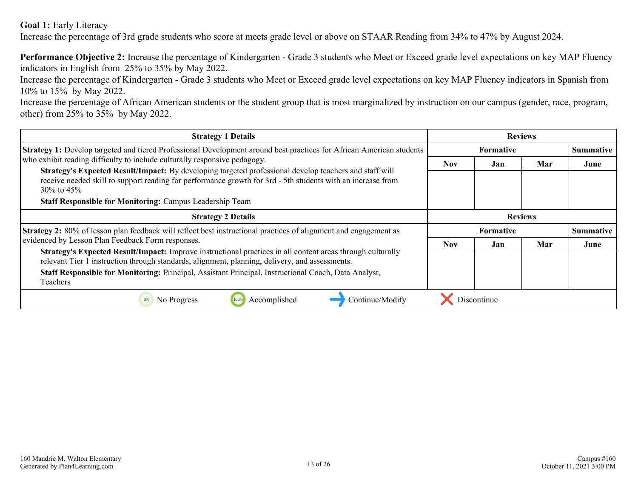**Goal 1:** Early Literacy

Increase the percentage of 3rd grade students who score at meets grade level or above on STAAR Reading from 34% to 47% by August 2024.

**Performance Objective 2:** Increase the percentage of Kindergarten - Grade 3 students who Meet or Exceed grade level expectations on key MAP Fluency indicators in English from 25% to 35% by May 2022.

Increase the percentage of Kindergarten - Grade 3 students who Meet or Exceed grade level expectations on key MAP Fluency indicators in Spanish from 10% to 15% by May 2022.

Increase the percentage of African American students or the student group that is most marginalized by instruction on our campus (gender, race, program, other) from 25% to 35% by May 2022.

| <b>Strategy 1 Details</b>                                                                                                                                                                                                                                                                                            | <b>Reviews</b> |                  |     |                  |
|----------------------------------------------------------------------------------------------------------------------------------------------------------------------------------------------------------------------------------------------------------------------------------------------------------------------|----------------|------------------|-----|------------------|
| <b>Strategy 1:</b> Develop targeted and tiered Professional Development around best practices for African American students                                                                                                                                                                                          |                | <b>Formative</b> |     | <b>Summative</b> |
| who exhibit reading difficulty to include culturally responsive pedagogy.                                                                                                                                                                                                                                            | <b>Nov</b>     | Jan              | Mar | June             |
| Strategy's Expected Result/Impact: By developing targeted professional develop teachers and staff will<br>receive needed skill to support reading for performance growth for 3rd - 5th students with an increase from<br>$30\%$ to 45\%                                                                              |                |                  |     |                  |
| <b>Staff Responsible for Monitoring: Campus Leadership Team</b>                                                                                                                                                                                                                                                      |                |                  |     |                  |
| <b>Strategy 2 Details</b>                                                                                                                                                                                                                                                                                            | <b>Reviews</b> |                  |     |                  |
| <b>Strategy 2:</b> 80% of lesson plan feedback will reflect best instructional practices of alignment and engagement as                                                                                                                                                                                              |                | <b>Formative</b> |     | <b>Summative</b> |
| evidenced by Lesson Plan Feedback Form responses.                                                                                                                                                                                                                                                                    | <b>Nov</b>     | Jan              | Mar | June             |
| Strategy's Expected Result/Impact: Improve instructional practices in all content areas through culturally<br>relevant Tier 1 instruction through standards, alignment, planning, delivery, and assessments.<br>Staff Responsible for Monitoring: Principal, Assistant Principal, Instructional Coach, Data Analyst, |                |                  |     |                  |
| Teachers                                                                                                                                                                                                                                                                                                             |                |                  |     |                  |
| No Progress<br>Accomplished<br>Continue/Modify<br>0%                                                                                                                                                                                                                                                                 |                | Discontinue      |     |                  |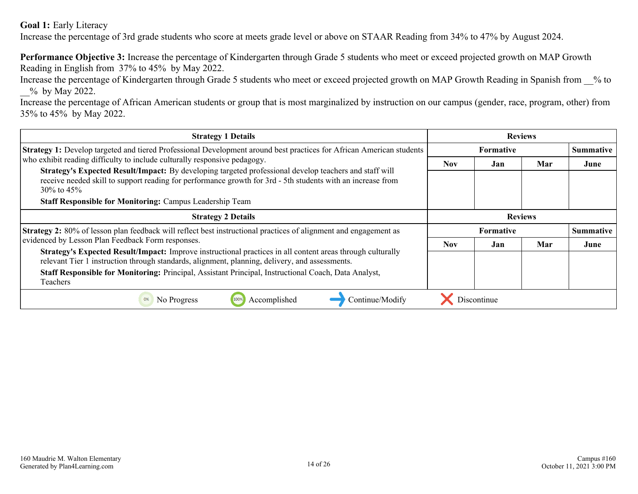**Goal 1:** Early Literacy

Increase the percentage of 3rd grade students who score at meets grade level or above on STAAR Reading from 34% to 47% by August 2024.

**Performance Objective 3:** Increase the percentage of Kindergarten through Grade 5 students who meet or exceed projected growth on MAP Growth Reading in English from 37% to 45% by May 2022.

Increase the percentage of Kindergarten through Grade 5 students who meet or exceed projected growth on MAP Growth Reading in Spanish from \_\_% to \_\_% by May 2022.

Increase the percentage of African American students or group that is most marginalized by instruction on our campus (gender, race, program, other) from 35% to 45% by May 2022.

| <b>Strategy 1 Details</b>                                                                                                                                                                                                                                                                                            | <b>Reviews</b> |                  |     |                  |
|----------------------------------------------------------------------------------------------------------------------------------------------------------------------------------------------------------------------------------------------------------------------------------------------------------------------|----------------|------------------|-----|------------------|
| Strategy 1: Develop targeted and tiered Professional Development around best practices for African American students                                                                                                                                                                                                 |                | <b>Formative</b> |     | <b>Summative</b> |
| who exhibit reading difficulty to include culturally responsive pedagogy.                                                                                                                                                                                                                                            | Nov.           | Jan              | Mar | June             |
| Strategy's Expected Result/Impact: By developing targeted professional develop teachers and staff will<br>receive needed skill to support reading for performance growth for 3rd - 5th students with an increase from<br>$30\%$ to 45\%                                                                              |                |                  |     |                  |
| <b>Staff Responsible for Monitoring: Campus Leadership Team</b>                                                                                                                                                                                                                                                      |                |                  |     |                  |
| <b>Strategy 2 Details</b>                                                                                                                                                                                                                                                                                            | <b>Reviews</b> |                  |     |                  |
| <b>Strategy 2:</b> 80% of lesson plan feedback will reflect best instructional practices of alignment and engagement as                                                                                                                                                                                              |                | <b>Formative</b> |     | <b>Summative</b> |
| evidenced by Lesson Plan Feedback Form responses.                                                                                                                                                                                                                                                                    | <b>Nov</b>     | Jan              | Mar | June             |
| Strategy's Expected Result/Impact: Improve instructional practices in all content areas through culturally<br>relevant Tier 1 instruction through standards, alignment, planning, delivery, and assessments.<br>Staff Responsible for Monitoring: Principal, Assistant Principal, Instructional Coach, Data Analyst, |                |                  |     |                  |
| Teachers                                                                                                                                                                                                                                                                                                             |                |                  |     |                  |
| Continue/Modify<br>No Progress<br>Accomplished<br>0%                                                                                                                                                                                                                                                                 |                | Discontinue      |     |                  |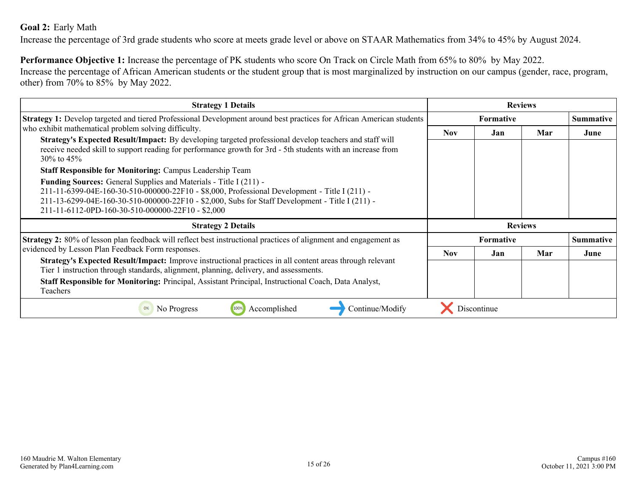### <span id="page-14-0"></span>**Goal 2:** Early Math

Increase the percentage of 3rd grade students who score at meets grade level or above on STAAR Mathematics from 34% to 45% by August 2024.

**Performance Objective 1:** Increase the percentage of PK students who score On Track on Circle Math from 65% to 80% by May 2022. Increase the percentage of African American students or the student group that is most marginalized by instruction on our campus (gender, race, program, other) from 70% to 85% by May 2022.

| <b>Strategy 1 Details</b>                                                                                                                                                                                                                                                                                                         |            |                  | <b>Reviews</b> |                  |
|-----------------------------------------------------------------------------------------------------------------------------------------------------------------------------------------------------------------------------------------------------------------------------------------------------------------------------------|------------|------------------|----------------|------------------|
| Strategy 1: Develop targeted and tiered Professional Development around best practices for African American students                                                                                                                                                                                                              |            | <b>Formative</b> |                | <b>Summative</b> |
| who exhibit mathematical problem solving difficulty.                                                                                                                                                                                                                                                                              | <b>Nov</b> | Jan              | Mar            | June             |
| Strategy's Expected Result/Impact: By developing targeted professional develop teachers and staff will<br>receive needed skill to support reading for performance growth for 3rd - 5th students with an increase from<br>$30\%$ to 45\%                                                                                           |            |                  |                |                  |
| <b>Staff Responsible for Monitoring: Campus Leadership Team</b>                                                                                                                                                                                                                                                                   |            |                  |                |                  |
| <b>Funding Sources:</b> General Supplies and Materials - Title I (211) -<br>211-11-6399-04E-160-30-510-000000-22F10 - \$8,000, Professional Development - Title I (211) -<br>211-13-6299-04E-160-30-510-000000-22F10 - \$2,000, Subs for Staff Development - Title I (211) -<br>211-11-6112-0PD-160-30-510-000000-22F10 - \$2,000 |            |                  |                |                  |
| <b>Strategy 2 Details</b>                                                                                                                                                                                                                                                                                                         |            |                  | <b>Reviews</b> |                  |
| <b>Strategy 2:</b> 80% of lesson plan feedback will reflect best instructional practices of alignment and engagement as                                                                                                                                                                                                           |            | <b>Formative</b> |                | <b>Summative</b> |
| evidenced by Lesson Plan Feedback Form responses.                                                                                                                                                                                                                                                                                 | <b>Nov</b> | Jan              | Mar            | June             |
| Strategy's Expected Result/Impact: Improve instructional practices in all content areas through relevant<br>Tier 1 instruction through standards, alignment, planning, delivery, and assessments.                                                                                                                                 |            |                  |                |                  |
| Staff Responsible for Monitoring: Principal, Assistant Principal, Instructional Coach, Data Analyst,<br>Teachers                                                                                                                                                                                                                  |            |                  |                |                  |
| Continue/Modify<br>Accomplished<br>0%<br>No Progress                                                                                                                                                                                                                                                                              |            | Discontinue      |                |                  |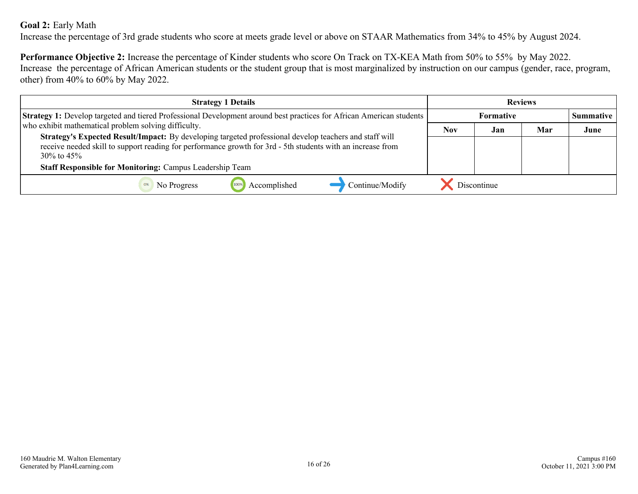### **Goal 2:** Early Math

Increase the percentage of 3rd grade students who score at meets grade level or above on STAAR Mathematics from 34% to 45% by August 2024.

**Performance Objective 2:** Increase the percentage of Kinder students who score On Track on TX-KEA Math from 50% to 55% by May 2022. Increase the percentage of African American students or the student group that is most marginalized by instruction on our campus (gender, race, program, other) from 40% to 60% by May 2022.

| <b>Strategy 1 Details</b>                                                                                                                                                                                                                 |            |             | <b>Reviews</b> |                  |
|-------------------------------------------------------------------------------------------------------------------------------------------------------------------------------------------------------------------------------------------|------------|-------------|----------------|------------------|
| <b>Strategy 1:</b> Develop targeted and tiered Professional Development around best practices for African American students                                                                                                               |            | Formative   |                | <b>Summative</b> |
| who exhibit mathematical problem solving difficulty.                                                                                                                                                                                      | <b>Nov</b> | Jan         | Mar            | June             |
| Strategy's Expected Result/Impact: By developing targeted professional develop teachers and staff will<br>receive needed skill to support reading for performance growth for 3rd - 5th students with an increase from<br>$30\%$ to $45\%$ |            |             |                |                  |
| <b>Staff Responsible for Monitoring: Campus Leadership Team</b>                                                                                                                                                                           |            |             |                |                  |
| 100%<br>Accomplished<br>Continue/Modify<br>No Progress                                                                                                                                                                                    |            | Discontinue |                |                  |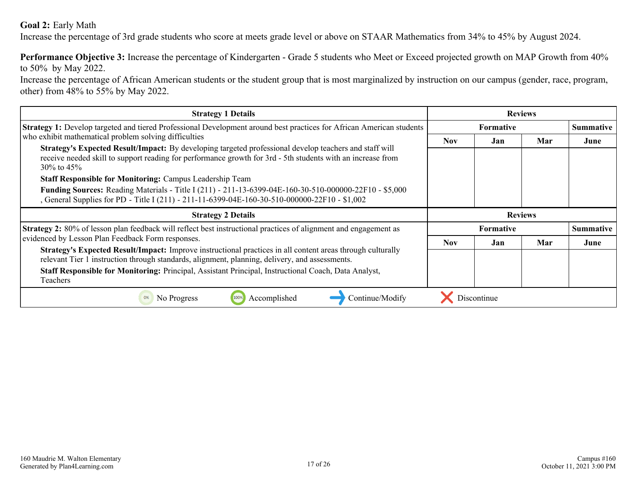### **Goal 2:** Early Math

Increase the percentage of 3rd grade students who score at meets grade level or above on STAAR Mathematics from 34% to 45% by August 2024.

**Performance Objective 3:** Increase the percentage of Kindergarten - Grade 5 students who Meet or Exceed projected growth on MAP Growth from 40% to 50% by May 2022.

Increase the percentage of African American students or the student group that is most marginalized by instruction on our campus (gender, race, program, other) from 48% to 55% by May 2022.

| <b>Strategy 1 Details</b>                                                                                                                                                                                    |      |                  | <b>Reviews</b> |                  |
|--------------------------------------------------------------------------------------------------------------------------------------------------------------------------------------------------------------|------|------------------|----------------|------------------|
| Strategy 1: Develop targeted and tiered Professional Development around best practices for African American students                                                                                         |      | <b>Formative</b> |                | <b>Summative</b> |
| who exhibit mathematical problem solving difficulties<br>Strategy's Expected Result/Impact: By developing targeted professional develop teachers and staff will                                              | Nov. | Jan              | Mar            | June             |
| receive needed skill to support reading for performance growth for 3rd - 5th students with an increase from<br>$30\%$ to 45\%                                                                                |      |                  |                |                  |
| <b>Staff Responsible for Monitoring: Campus Leadership Team</b>                                                                                                                                              |      |                  |                |                  |
| Funding Sources: Reading Materials - Title I (211) - 211-13-6399-04E-160-30-510-000000-22F10 - \$5,000<br>General Supplies for PD - Title I (211) - 211-11-6399-04E-160-30-510-000000-22F10 - \$1,002        |      |                  |                |                  |
|                                                                                                                                                                                                              |      |                  |                |                  |
| <b>Strategy 2 Details</b>                                                                                                                                                                                    |      |                  | <b>Reviews</b> |                  |
| <b>Strategy 2:</b> 80% of lesson plan feedback will reflect best instructional practices of alignment and engagement as                                                                                      |      | <b>Formative</b> |                | <b>Summative</b> |
| evidenced by Lesson Plan Feedback Form responses.                                                                                                                                                            | Nov. | Jan              | Mar            | June             |
| Strategy's Expected Result/Impact: Improve instructional practices in all content areas through culturally<br>relevant Tier 1 instruction through standards, alignment, planning, delivery, and assessments. |      |                  |                |                  |
| Staff Responsible for Monitoring: Principal, Assistant Principal, Instructional Coach, Data Analyst,<br>Teachers                                                                                             |      |                  |                |                  |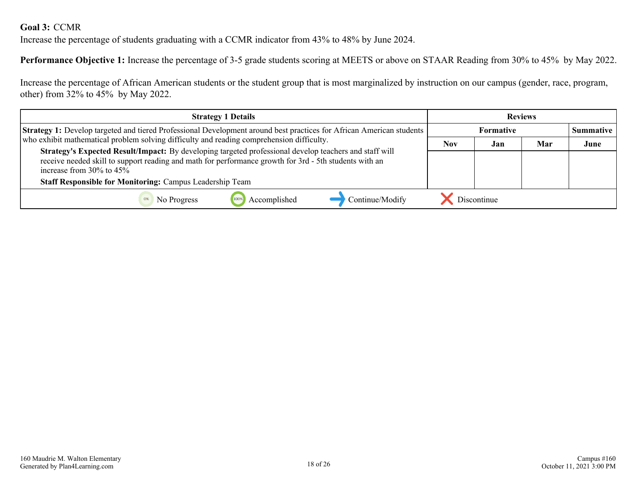### <span id="page-17-0"></span>**Goal 3:** CCMR

Increase the percentage of students graduating with a CCMR indicator from 43% to 48% by June 2024.

**Performance Objective 1:** Increase the percentage of 3-5 grade students scoring at MEETS or above on STAAR Reading from 30% to 45% by May 2022.

Increase the percentage of African American students or the student group that is most marginalized by instruction on our campus (gender, race, program, other) from 32% to 45% by May 2022.

| <b>Strategy 1 Details</b>                                                                                                                                                                                                                          | <b>Reviews</b> |             |     |      |  |
|----------------------------------------------------------------------------------------------------------------------------------------------------------------------------------------------------------------------------------------------------|----------------|-------------|-----|------|--|
| <b>Strategy 1:</b> Develop targeted and tiered Professional Development around best practices for African American students                                                                                                                        |                | Formative   |     |      |  |
| who exhibit mathematical problem solving difficulty and reading comprehension difficulty.                                                                                                                                                          | <b>Nov</b>     | Jan         | Mar | June |  |
| Strategy's Expected Result/Impact: By developing targeted professional develop teachers and staff will<br>receive needed skill to support reading and math for performance growth for 3rd - 5th students with an<br>increase from $30\%$ to $45\%$ |                |             |     |      |  |
| <b>Staff Responsible for Monitoring: Campus Leadership Team</b>                                                                                                                                                                                    |                |             |     |      |  |
| Accomplished<br>Continue/Modify<br>No Progress                                                                                                                                                                                                     |                | Discontinue |     |      |  |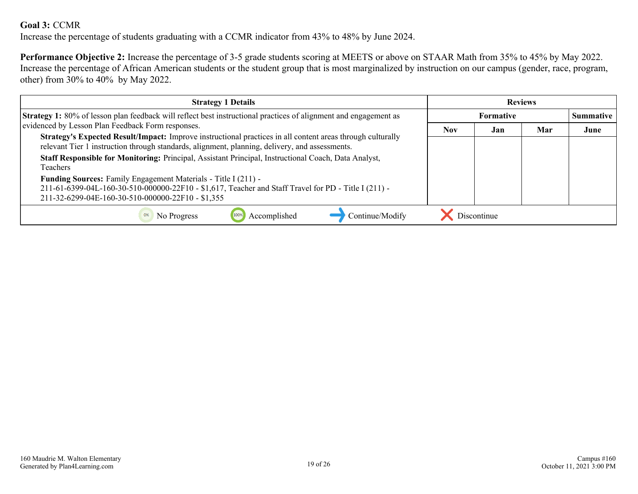### **Goal 3:** CCMR

Increase the percentage of students graduating with a CCMR indicator from 43% to 48% by June 2024.

**Performance Objective 2:** Increase the percentage of 3-5 grade students scoring at MEETS or above on STAAR Math from 35% to 45% by May 2022. Increase the percentage of African American students or the student group that is most marginalized by instruction on our campus (gender, race, program, other) from 30% to 40% by May 2022.

| <b>Strategy 1 Details</b>                                                                                                                                                                                                   | <b>Reviews</b>   |             |     |                  |
|-----------------------------------------------------------------------------------------------------------------------------------------------------------------------------------------------------------------------------|------------------|-------------|-----|------------------|
| <b>Strategy 1:</b> 80% of lesson plan feedback will reflect best instructional practices of alignment and engagement as                                                                                                     | <b>Formative</b> |             |     | <b>Summative</b> |
| evidenced by Lesson Plan Feedback Form responses.                                                                                                                                                                           | <b>Nov</b>       | Jan         | Mar | June             |
| Strategy's Expected Result/Impact: Improve instructional practices in all content areas through culturally<br>relevant Tier 1 instruction through standards, alignment, planning, delivery, and assessments.                |                  |             |     |                  |
| Staff Responsible for Monitoring: Principal, Assistant Principal, Instructional Coach, Data Analyst,<br><b>Teachers</b>                                                                                                     |                  |             |     |                  |
| Funding Sources: Family Engagement Materials - Title I (211) -<br>211-61-6399-04L-160-30-510-000000-22F10 - \$1,617, Teacher and Staff Travel for PD - Title I (211) -<br>211-32-6299-04E-160-30-510-000000-22F10 - \$1,355 |                  |             |     |                  |
| Accomplished<br>Continue/Modify<br>No Progress                                                                                                                                                                              |                  | Discontinue |     |                  |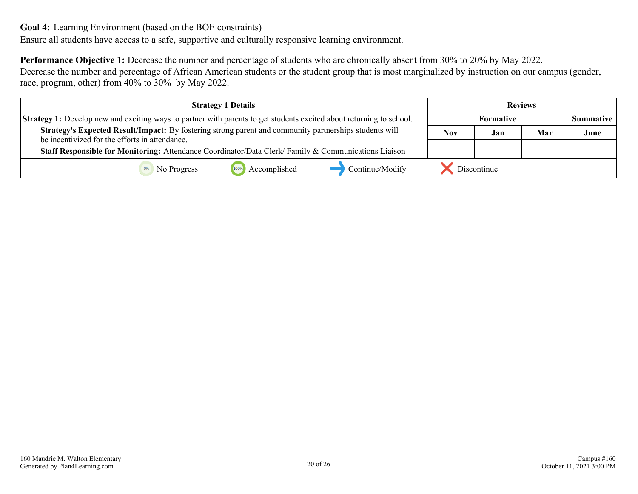<span id="page-19-0"></span>Ensure all students have access to a safe, supportive and culturally responsive learning environment.

**Performance Objective 1:** Decrease the number and percentage of students who are chronically absent from 30% to 20% by May 2022. Decrease the number and percentage of African American students or the student group that is most marginalized by instruction on our campus (gender, race, program, other) from 40% to 30% by May 2022.

| <b>Strategy 1 Details</b>                                                                                                                                | <b>Reviews</b>                   |  |  |  |
|----------------------------------------------------------------------------------------------------------------------------------------------------------|----------------------------------|--|--|--|
| <b>Strategy 1:</b> Develop new and exciting ways to partner with parents to get students excited about returning to school.                              | <b>Formative</b><br>Summative    |  |  |  |
| Strategy's Expected Result/Impact: By fostering strong parent and community partnerships students will<br>be incentivized for the efforts in attendance. | <b>Nov</b><br>Jan<br>Mar<br>June |  |  |  |
| <b>Staff Responsible for Monitoring:</b> Attendance Coordinator/Data Clerk/Family & Communications Liaison                                               |                                  |  |  |  |
| Accomplished<br>Continue/Modify<br>No Progress                                                                                                           | Discontinue                      |  |  |  |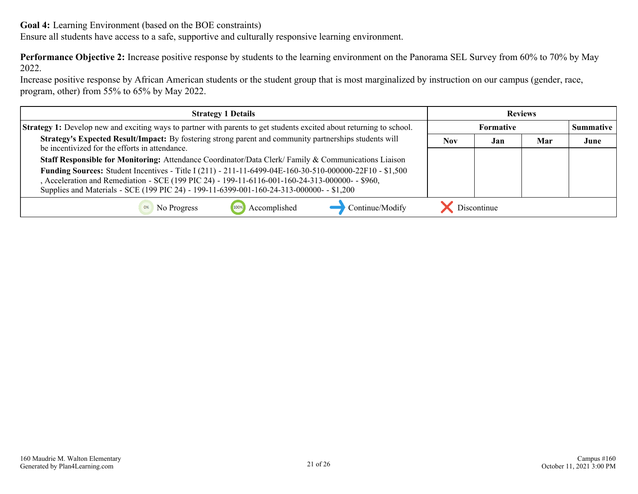Ensure all students have access to a safe, supportive and culturally responsive learning environment.

**Performance Objective 2:** Increase positive response by students to the learning environment on the Panorama SEL Survey from 60% to 70% by May 2022.

Increase positive response by African American students or the student group that is most marginalized by instruction on our campus (gender, race, program, other) from 55% to 65% by May 2022.

| <b>Strategy 1 Details</b>                                                                                                                                                                                                                                                                              | <b>Reviews</b> |                  |  |  |
|--------------------------------------------------------------------------------------------------------------------------------------------------------------------------------------------------------------------------------------------------------------------------------------------------------|----------------|------------------|--|--|
| <b>Strategy 1:</b> Develop new and exciting ways to partner with parents to get students excited about returning to school.                                                                                                                                                                            |                | <b>Formative</b> |  |  |
| Strategy's Expected Result/Impact: By fostering strong parent and community partnerships students will<br>be incentivized for the efforts in attendance.                                                                                                                                               | Nov            | June             |  |  |
| Staff Responsible for Monitoring: Attendance Coordinator/Data Clerk/Family & Communications Liaison                                                                                                                                                                                                    |                |                  |  |  |
| Funding Sources: Student Incentives - Title I (211) - 211-11-6499-04E-160-30-510-000000-22F10 - \$1,500<br>, Acceleration and Remediation - SCE (199 PIC 24) - 199-11-6116-001-160-24-313-000000- - \$960,<br>Supplies and Materials - SCE (199 PIC 24) - 199-11-6399-001-160-24-313-000000- - \$1,200 |                |                  |  |  |
| Accomplished<br>Continue/Modify<br>No Progress                                                                                                                                                                                                                                                         |                | Discontinue      |  |  |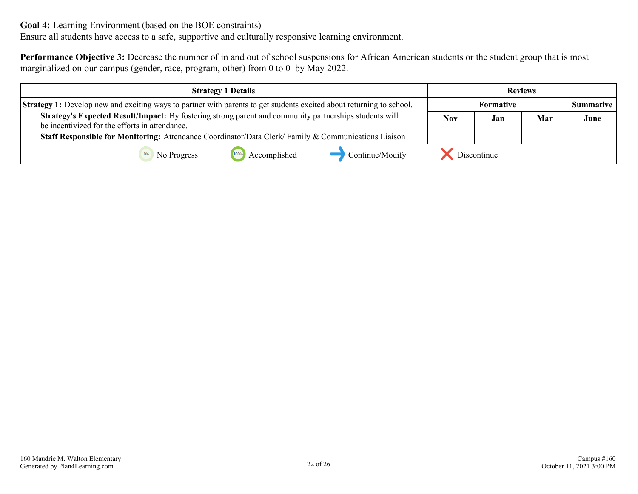Ensure all students have access to a safe, supportive and culturally responsive learning environment.

**Performance Objective 3:** Decrease the number of in and out of school suspensions for African American students or the student group that is most marginalized on our campus (gender, race, program, other) from 0 to 0 by May 2022.

|                                                                                                                                                          | <b>Strategy 1 Details</b> |                 |                   |             | <b>Reviews</b> |                  |
|----------------------------------------------------------------------------------------------------------------------------------------------------------|---------------------------|-----------------|-------------------|-------------|----------------|------------------|
| Strategy 1: Develop new and exciting ways to partner with parents to get students excited about returning to school.                                     |                           |                 | <b>Formative</b>  |             |                | <b>Summative</b> |
| Strategy's Expected Result/Impact: By fostering strong parent and community partnerships students will<br>be incentivized for the efforts in attendance. |                           |                 | Nov<br>Mar<br>Jan |             |                | June             |
| Staff Responsible for Monitoring: Attendance Coordinator/Data Clerk/Family & Communications Liaison                                                      |                           |                 |                   |             |                |                  |
| No Progress                                                                                                                                              | Accomplished              | Continue/Modify |                   | Discontinue |                |                  |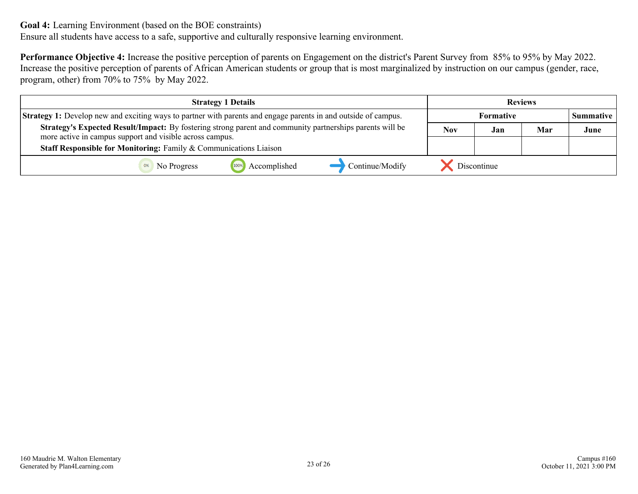Ensure all students have access to a safe, supportive and culturally responsive learning environment.

**Performance Objective 4:** Increase the positive perception of parents on Engagement on the district's Parent Survey from 85% to 95% by May 2022. Increase the positive perception of parents of African American students or group that is most marginalized by instruction on our campus (gender, race, program, other) from 70% to 75% by May 2022.

| <b>Strategy 1 Details</b>                                                                                             |                                 | <b>Reviews</b>           |                  |  |      |
|-----------------------------------------------------------------------------------------------------------------------|---------------------------------|--------------------------|------------------|--|------|
| <b>Strategy 1:</b> Develop new and exciting ways to partner with parents and engage parents in and outside of campus. |                                 |                          | <b>Summative</b> |  |      |
| Strategy's Expected Result/Impact: By fostering strong parent and community partnerships parents will be              |                                 | <b>Nov</b><br>Mar<br>Jan |                  |  | June |
| more active in campus support and visible across campus.                                                              |                                 |                          |                  |  |      |
| Staff Responsible for Monitoring: Family & Communications Liaison                                                     |                                 |                          |                  |  |      |
| No Progress                                                                                                           | Accomplished<br>Continue/Modify |                          | Discontinue      |  |      |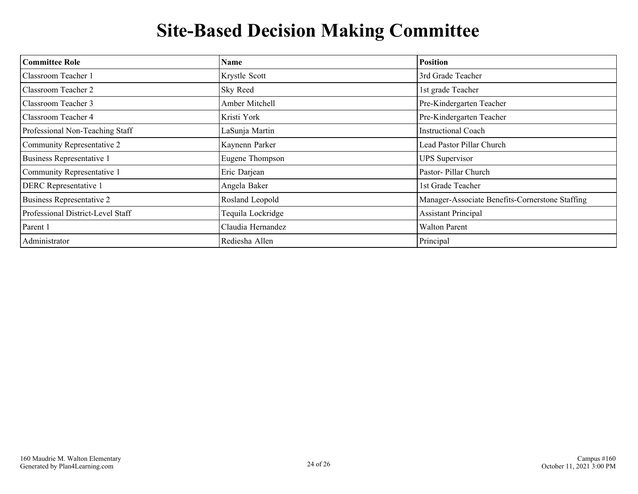## **Site-Based Decision Making Committee**

<span id="page-23-0"></span>

| <b>Committee Role</b>             | <b>Name</b>       | <b>Position</b>                                 |
|-----------------------------------|-------------------|-------------------------------------------------|
| Classroom Teacher 1               | Krystle Scott     | 3rd Grade Teacher                               |
| <b>Classroom Teacher 2</b>        | Sky Reed          | 1st grade Teacher                               |
| Classroom Teacher 3               | Amber Mitchell    | Pre-Kindergarten Teacher                        |
| <b>Classroom Teacher 4</b>        | Kristi York       | Pre-Kindergarten Teacher                        |
| Professional Non-Teaching Staff   | LaSunja Martin    | <b>Instructional Coach</b>                      |
| Community Representative 2        | Kaynenn Parker    | Lead Pastor Pillar Church                       |
| <b>Business Representative 1</b>  | Eugene Thompson   | <b>UPS</b> Supervisor                           |
| Community Representative 1        | Eric Darjean      | Pastor- Pillar Church                           |
| <b>DERC</b> Representative 1      | Angela Baker      | 1st Grade Teacher                               |
| <b>Business Representative 2</b>  | Rosland Leopold   | Manager-Associate Benefits-Cornerstone Staffing |
| Professional District-Level Staff | Tequila Lockridge | <b>Assistant Principal</b>                      |
| Parent 1                          | Claudia Hernandez | <b>Walton Parent</b>                            |
| Administrator                     | Rediesha Allen    | Principal                                       |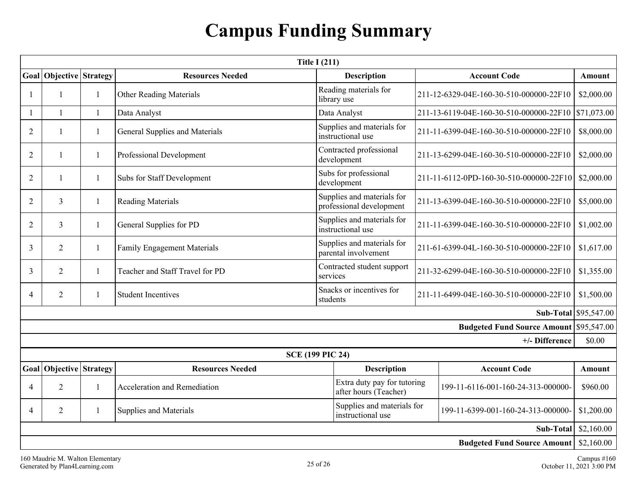## **Campus Funding Summary**

<span id="page-24-0"></span>

|                |                           |              |                                       | <b>Title I (211)</b>                                   |                                         |                                                |                              |
|----------------|---------------------------|--------------|---------------------------------------|--------------------------------------------------------|-----------------------------------------|------------------------------------------------|------------------------------|
| Goal           | <b>Objective Strategy</b> |              | <b>Resources Needed</b>               | <b>Description</b>                                     |                                         | <b>Account Code</b>                            | Amount                       |
|                | 1                         | 1            | Other Reading Materials               | Reading materials for<br>library use                   |                                         | 211-12-6329-04E-160-30-510-000000-22F10        |                              |
|                | $\mathbf{1}$              | $\mathbf{1}$ | Data Analyst                          | Data Analyst                                           |                                         | 211-13-6119-04E-160-30-510-000000-22F10        | \$71,073.00                  |
| $\overline{2}$ | 1                         | -1           | <b>General Supplies and Materials</b> | Supplies and materials for<br>instructional use        |                                         | 211-11-6399-04E-160-30-510-000000-22F10        | \$8,000.00                   |
| $\overline{2}$ | $\mathbf{1}$              | 1            | Professional Development              | Contracted professional<br>development                 |                                         | 211-13-6299-04E-160-30-510-000000-22F10        | \$2,000.00                   |
| $\overline{2}$ | 1                         | $\mathbf{1}$ | Subs for Staff Development            | Subs for professional<br>development                   |                                         | 211-11-6112-0PD-160-30-510-000000-22F10        | \$2,000.00                   |
| $\overline{2}$ | $\mathfrak{Z}$            | -1           | <b>Reading Materials</b>              | Supplies and materials for<br>professional development |                                         | 211-13-6399-04E-160-30-510-000000-22F10        | \$5,000.00                   |
| 2              | $\mathfrak{Z}$            | 1            | General Supplies for PD               | Supplies and materials for<br>instructional use        | 211-11-6399-04E-160-30-510-000000-22F10 |                                                | \$1,002.00                   |
| 3              | $\overline{2}$            | 1            | <b>Family Engagement Materials</b>    | Supplies and materials for<br>parental involvement     | 211-61-6399-04L-160-30-510-000000-22F10 |                                                | \$1,617.00                   |
| 3              | 2                         | -1           | Teacher and Staff Travel for PD       | Contracted student support<br>services                 | 211-32-6299-04E-160-30-510-000000-22F10 |                                                | \$1,355.00                   |
| $\overline{4}$ | $\overline{2}$            | $\mathbf{1}$ | <b>Student Incentives</b>             | Snacks or incentives for<br>students                   | 211-11-6499-04E-160-30-510-000000-22F10 |                                                | \$1,500.00                   |
|                |                           |              |                                       |                                                        |                                         |                                                | <b>Sub-Total</b> \$95,547.00 |
|                |                           |              |                                       |                                                        |                                         | <b>Budgeted Fund Source Amount \$95,547.00</b> |                              |
|                |                           |              |                                       |                                                        |                                         | +/- Difference                                 | \$0.00                       |
|                |                           |              |                                       | <b>SCE (199 PIC 24)</b>                                |                                         |                                                |                              |
|                | Goal Objective Strategy   |              | <b>Resources Needed</b>               | <b>Description</b>                                     |                                         | <b>Account Code</b>                            | Amount                       |
| $\overline{A}$ | $\overline{2}$            | 1            | Acceleration and Remediation          | Extra duty pay for tutoring<br>after hours (Teacher)   |                                         | 199-11-6116-001-160-24-313-000000-             | \$960.00                     |
| $\overline{4}$ | 2                         | 1            | <b>Supplies and Materials</b>         | Supplies and materials for<br>instructional use        | 199-11-6399-001-160-24-313-000000-      |                                                | \$1,200.00                   |
|                |                           |              |                                       |                                                        |                                         | Sub-Total                                      | \$2,160.00                   |
|                |                           |              |                                       |                                                        |                                         | <b>Budgeted Fund Source Amount</b>             | \$2,160.00                   |